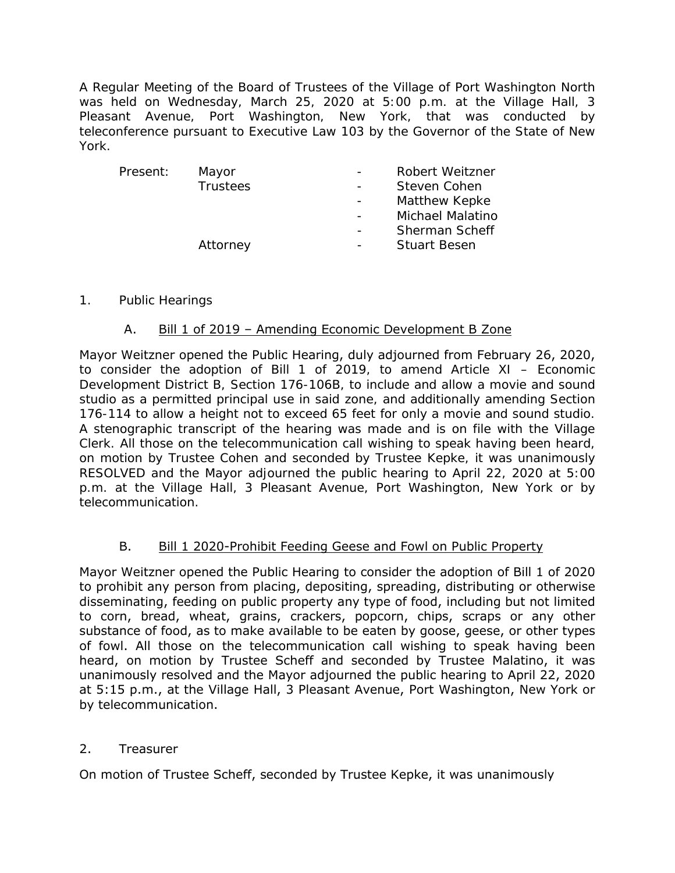A Regular Meeting of the Board of Trustees of the Village of Port Washington North was held on Wednesday, March 25, 2020 at 5:00 p.m. at the Village Hall, 3 Pleasant Avenue, Port Washington, New York, that was conducted by teleconference pursuant to Executive Law 103 by the Governor of the State of New York.

| Present: | Mayor           | Robert Weitzner         |
|----------|-----------------|-------------------------|
|          | <b>Trustees</b> | Steven Cohen            |
|          |                 | Matthew Kepke           |
|          |                 | <b>Michael Malatino</b> |
|          |                 | <b>Sherman Scheff</b>   |
|          | Attorney        | <b>Stuart Besen</b>     |
|          |                 |                         |

# 1. Public Hearings

# A. Bill 1 of 2019 – Amending Economic Development B Zone

Mayor Weitzner opened the Public Hearing, duly adjourned from February 26, 2020, to consider the adoption of Bill 1 of 2019, to amend Article XI – Economic Development District B, Section 176-106B, to include and allow a movie and sound studio as a permitted principal use in said zone, and additionally amending Section 176-114 to allow a height not to exceed 65 feet for only a movie and sound studio. A stenographic transcript of the hearing was made and is on file with the Village Clerk. All those on the telecommunication call wishing to speak having been heard, on motion by Trustee Cohen and seconded by Trustee Kepke, it was unanimously RESOLVED and the Mayor adjourned the public hearing to April 22, 2020 at 5:00 p.m. at the Village Hall, 3 Pleasant Avenue, Port Washington, New York or by telecommunication.

# B. Bill 1 2020-Prohibit Feeding Geese and Fowl on Public Property

Mayor Weitzner opened the Public Hearing to consider the adoption of Bill 1 of 2020 to prohibit any person from placing, depositing, spreading, distributing or otherwise disseminating, feeding on public property any type of food, including but not limited to corn, bread, wheat, grains, crackers, popcorn, chips, scraps or any other substance of food, as to make available to be eaten by goose, geese, or other types of fowl. All those on the telecommunication call wishing to speak having been heard, on motion by Trustee Scheff and seconded by Trustee Malatino, it was unanimously resolved and the Mayor adjourned the public hearing to April 22, 2020 at 5:15 p.m., at the Village Hall, 3 Pleasant Avenue, Port Washington, New York or by telecommunication.

# 2. Treasurer

On motion of Trustee Scheff, seconded by Trustee Kepke, it was unanimously